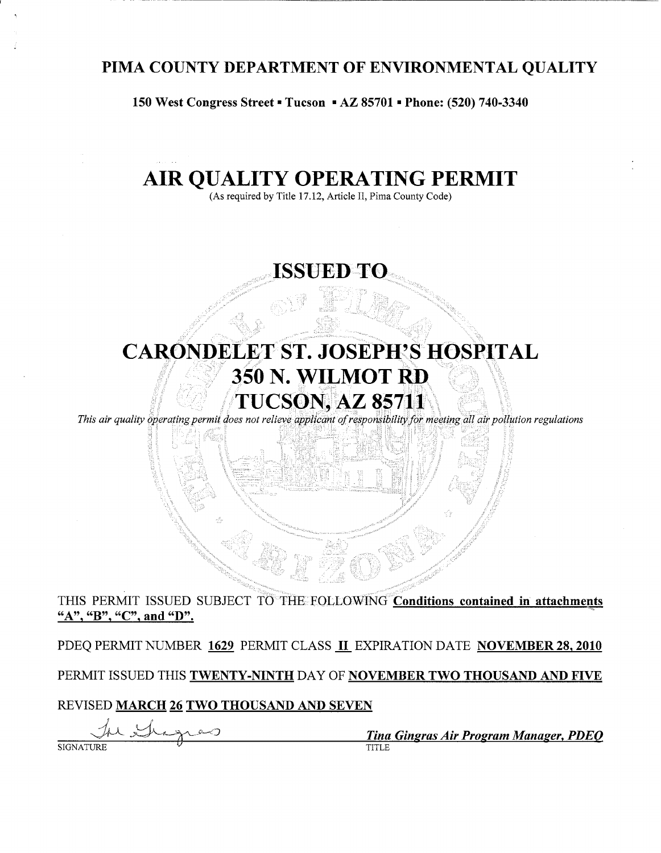## PIMA COUNTY DEPARTMENT OF ENVIRONMENTAL QUALITY

150 West Congress Street = Tucson = AZ 85701 = Phone: (520) 740-3340

# AIR OUALITY OPERATING PERMIT

(As required by Title 17.12, Article II, Pima County Code)

# **ISSUED TO**

# **CARONDELET ST. JOSEPH'S HOSPITAL** 350 N. WILMOT RD **TUCSON, AZ 85711**

This air quality operating permit does not relieve applicant of responsibility for meeting all air pollution regulations

#### THIS PERMIT ISSUED SUBJECT TO THE FOLLOWING Conditions contained in attachments "A", "B", "C", and "D".

PDEQ PERMIT NUMBER 1629 PERMIT CLASS II EXPIRATION DATE NOVEMBER 28, 2010

PERMIT ISSUED THIS TWENTY-NINTH DAY OF NOVEMBER TWO THOUSAND AND FIVE

#### REVISED MARCH 26 TWO THOUSAND AND SEVEN

 $9-$ 

Tina Gingras Air Program Manager, PDEO  $\overline{\text{TTITE}}$ 

**SIGNATURE**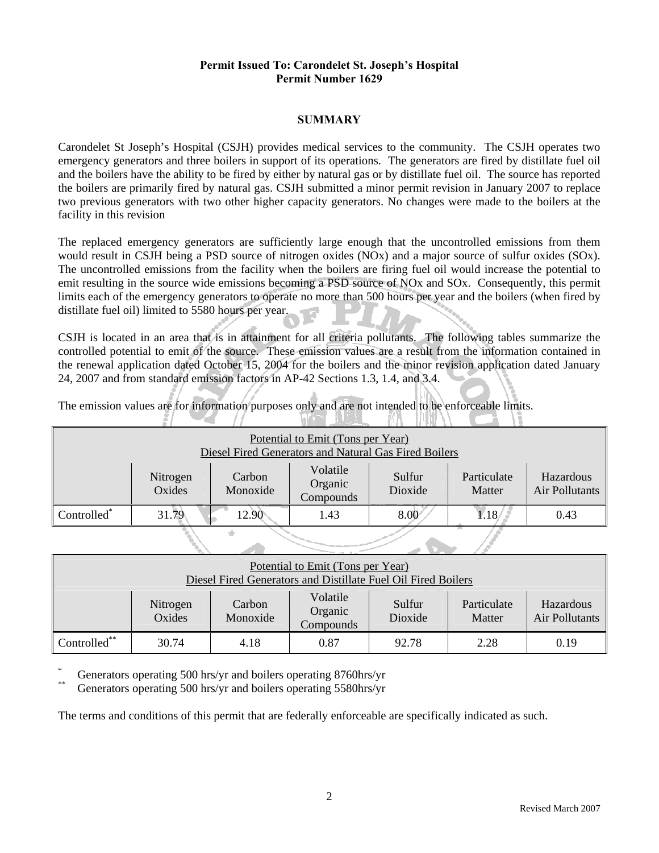#### **SUMMARY**

Carondelet St Joseph's Hospital (CSJH) provides medical services to the community. The CSJH operates two emergency generators and three boilers in support of its operations. The generators are fired by distillate fuel oil and the boilers have the ability to be fired by either by natural gas or by distillate fuel oil. The source has reported the boilers are primarily fired by natural gas. CSJH submitted a minor permit revision in January 2007 to replace two previous generators with two other higher capacity generators. No changes were made to the boilers at the facility in this revision

The replaced emergency generators are sufficiently large enough that the uncontrolled emissions from them would result in CSJH being a PSD source of nitrogen oxides (NOx) and a major source of sulfur oxides (SOx). The uncontrolled emissions from the facility when the boilers are firing fuel oil would increase the potential to emit resulting in the source wide emissions becoming a PSD source of NOx and SOx. Consequently, this permit limits each of the emergency generators to operate no more than 500 hours per year and the boilers (when fired by distillate fuel oil) limited to 5580 hours per year.

CSJH is located in an area that is in attainment for all criteria pollutants. The following tables summarize the controlled potential to emit of the source. These emission values are a result from the information contained in the renewal application dated October 15, 2004 for the boilers and the minor revision application dated January 24, 2007 and from standard emission factors in AP-42 Sections 1.3, 1.4, and 3.4.

The emission values are for information purposes only and are not intended to be enforceable limits. **INGEL** WN. - TRENTAA

| Potential to Emit (Tons per Year)<br>Diesel Fired Generators and Natural Gas Fired Boilers |                    |                    |                                  |                   |                       |                             |  |  |
|--------------------------------------------------------------------------------------------|--------------------|--------------------|----------------------------------|-------------------|-----------------------|-----------------------------|--|--|
|                                                                                            | Nitrogen<br>Oxides | Carbon<br>Monoxide | Volatile<br>Organic<br>Compounds | Sulfur<br>Dioxide | Particulate<br>Matter | Hazardous<br>Air Pollutants |  |  |
| Controlled*                                                                                | 31.79              | 12.90              | 1.43                             | 8.00              | 1.18                  | 0.43                        |  |  |
|                                                                                            |                    |                    |                                  |                   |                       |                             |  |  |

| Potential to Emit (Tons per Year)<br>Diesel Fired Generators and Distillate Fuel Oil Fired Boilers                                                        |       |      |      |       |      |      |  |
|-----------------------------------------------------------------------------------------------------------------------------------------------------------|-------|------|------|-------|------|------|--|
| Volatile<br>Sulfur<br>Particulate<br>Carbon<br>Hazardous<br>Nitrogen<br>Organic<br>Oxides<br>Monoxide<br>Air Pollutants<br>Dioxide<br>Matter<br>Compounds |       |      |      |       |      |      |  |
| $\mathsf{Controlled}^{**}$                                                                                                                                | 30.74 | 4.18 | 0.87 | 92.78 | 2.28 | 0.19 |  |

 $\mathscr{D}$  . And  $\mathscr{D}$ 

Generators operating 500 hrs/yr and boilers operating 8760hrs/yr

Generators operating 500 hrs/yr and boilers operating 5580hrs/yr

The terms and conditions of this permit that are federally enforceable are specifically indicated as such.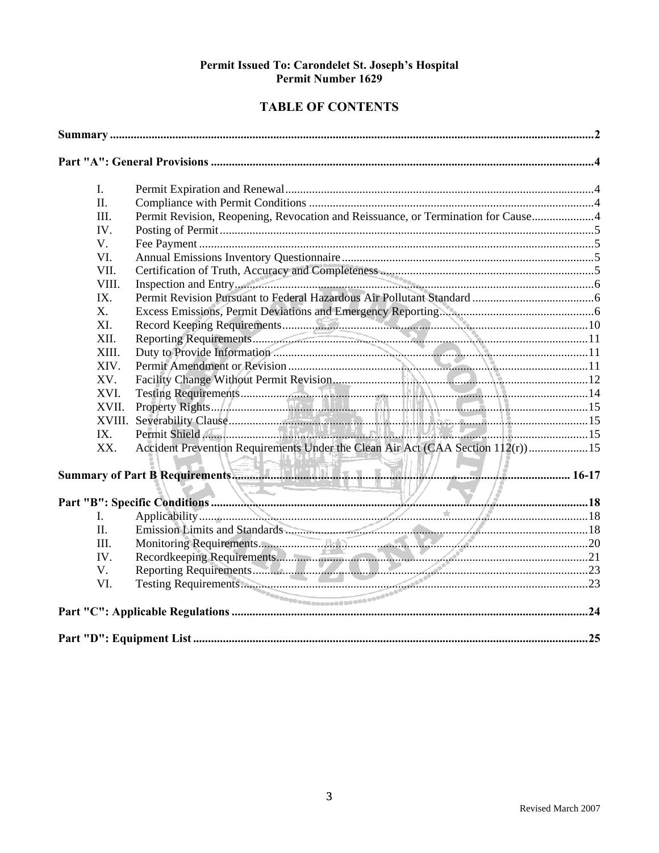#### **TABLE OF CONTENTS**

| I.     |                                                                                  |  |
|--------|----------------------------------------------------------------------------------|--|
| II.    |                                                                                  |  |
| III.   | Permit Revision, Reopening, Revocation and Reissuance, or Termination for Cause4 |  |
| IV.    |                                                                                  |  |
| V.     |                                                                                  |  |
| VI.    |                                                                                  |  |
| VII.   |                                                                                  |  |
| VIII.  | Inspection and Entry.                                                            |  |
| IX.    |                                                                                  |  |
| X.     |                                                                                  |  |
| XI.    |                                                                                  |  |
| XII.   |                                                                                  |  |
| XIII.  |                                                                                  |  |
| XIV.   |                                                                                  |  |
| XV.    |                                                                                  |  |
| XVI.   |                                                                                  |  |
| XVII.  |                                                                                  |  |
| XVIII. |                                                                                  |  |
| IX.    |                                                                                  |  |
| XX.    | Accident Prevention Requirements Under the Clean Air Act (CAA Section 112(r))15  |  |
|        |                                                                                  |  |
|        |                                                                                  |  |
|        |                                                                                  |  |
| II.    |                                                                                  |  |
| III.   |                                                                                  |  |
| IV.    |                                                                                  |  |
| V.     |                                                                                  |  |
| VI.    |                                                                                  |  |
|        |                                                                                  |  |
|        |                                                                                  |  |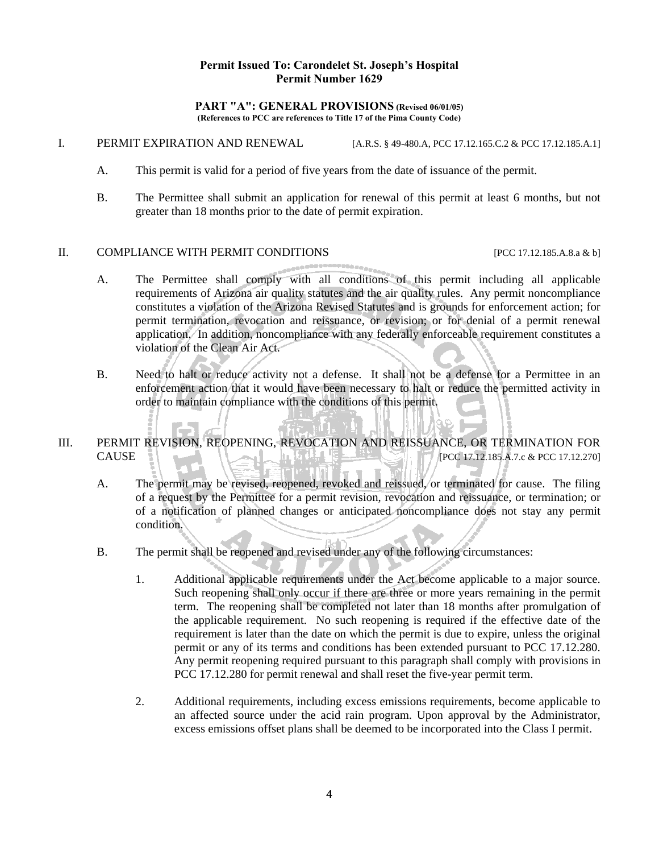#### **PART "A": GENERAL PROVISIONS (Revised 06/01/05) (References to PCC are references to Title 17 of the Pima County Code)**

- I. PERMIT EXPIRATION AND RENEWAL [A.R.S. § 49-480.A, PCC 17.12.165.C.2 & PCC 17.12.185.A.1]
	- A. This permit is valid for a period of five years from the date of issuance of the permit.
	- B. The Permittee shall submit an application for renewal of this permit at least 6 months, but not greater than 18 months prior to the date of permit expiration.

#### II. COMPLIANCE WITH PERMIT CONDITIONS [PCC 17.12.185.A.8.a & b]

- A. The Permittee shall comply with all conditions of this permit including all applicable requirements of Arizona air quality statutes and the air quality rules. Any permit noncompliance constitutes a violation of the Arizona Revised Statutes and is grounds for enforcement action; for permit termination, revocation and reissuance, or revision; or for denial of a permit renewal application. In addition, noncompliance with any federally enforceable requirement constitutes a violation of the Clean Air Act.
- B. Need to halt or reduce activity not a defense. It shall not be a defense for a Permittee in an enforcement action that it would have been necessary to halt or reduce the permitted activity in order to maintain compliance with the conditions of this permit.
- III. PERMIT REVISION, REOPENING, REVOCATION AND REISSUANCE, OR TERMINATION FOR CAUSE [PCC 17.12.185.A.7.c & PCC 17.12.270]
	- A. The permit may be revised, reopened, revoked and reissued, or terminated for cause. The filing of a request by the Permittee for a permit revision, revocation and reissuance, or termination; or of a notification of planned changes or anticipated noncompliance does not stay any permit condition.
	- B. The permit shall be reopened and revised under any of the following circumstances:
		- 1. Additional applicable requirements under the Act become applicable to a major source. Such reopening shall only occur if there are three or more years remaining in the permit term. The reopening shall be completed not later than 18 months after promulgation of the applicable requirement. No such reopening is required if the effective date of the requirement is later than the date on which the permit is due to expire, unless the original permit or any of its terms and conditions has been extended pursuant to PCC 17.12.280. Any permit reopening required pursuant to this paragraph shall comply with provisions in PCC 17.12.280 for permit renewal and shall reset the five-year permit term.
		- 2. Additional requirements, including excess emissions requirements, become applicable to an affected source under the acid rain program. Upon approval by the Administrator, excess emissions offset plans shall be deemed to be incorporated into the Class I permit.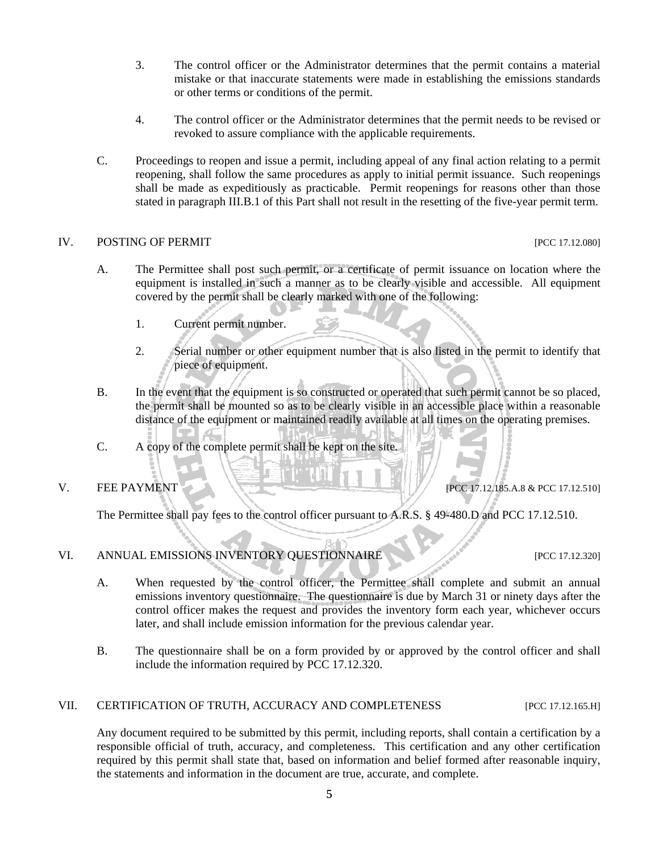- 3. The control officer or the Administrator determines that the permit contains a material mistake or that inaccurate statements were made in establishing the emissions standards or other terms or conditions of the permit.
- 4. The control officer or the Administrator determines that the permit needs to be revised or revoked to assure compliance with the applicable requirements.
- C. Proceedings to reopen and issue a permit, including appeal of any final action relating to a permit reopening, shall follow the same procedures as apply to initial permit issuance. Such reopenings shall be made as expeditiously as practicable. Permit reopenings for reasons other than those stated in paragraph III.B.1 of this Part shall not result in the resetting of the five-year permit term.

#### IV. POSTING OF PERMIT SERVERSE ENTITLE POSTING OF PERMIT

- A. The Permittee shall post such permit, or a certificate of permit issuance on location where the equipment is installed in such a manner as to be clearly visible and accessible. All equipment covered by the permit shall be clearly marked with one of the following:
	- 1. Current permit number.
	- 2. Serial number or other equipment number that is also listed in the permit to identify that piece of equipment.
- B. In the event that the equipment is so constructed or operated that such permit cannot be so placed, the permit shall be mounted so as to be clearly visible in an accessible place within a reasonable distance of the equipment or maintained readily available at all times on the operating premises.
- C. A copy of the complete permit shall be kept on the site.

V. FEE PAYMENT  $\bigcup_{P \in \mathcal{P}} P(CC\ 17.12.185.A.8 \& PCC\ 17.12.5101$ 

The Permittee shall pay fees to the control officer pursuant to A.R.S. § 49-480.D and PCC 17.12.510.

#### VI. ANNUAL EMISSIONS INVENTORY QUESTIONNAIRE [PCC 17.12.320]

- A. When requested by the control officer, the Permittee shall complete and submit an annual emissions inventory questionnaire. The questionnaire is due by March 31 or ninety days after the control officer makes the request and provides the inventory form each year, whichever occurs later, and shall include emission information for the previous calendar year.
- B. The questionnaire shall be on a form provided by or approved by the control officer and shall include the information required by PCC 17.12.320.

#### VII. CERTIFICATION OF TRUTH, ACCURACY AND COMPLETENESS [PCC 17.12.165.H]

Any document required to be submitted by this permit, including reports, shall contain a certification by a responsible official of truth, accuracy, and completeness. This certification and any other certification required by this permit shall state that, based on information and belief formed after reasonable inquiry, the statements and information in the document are true, accurate, and complete.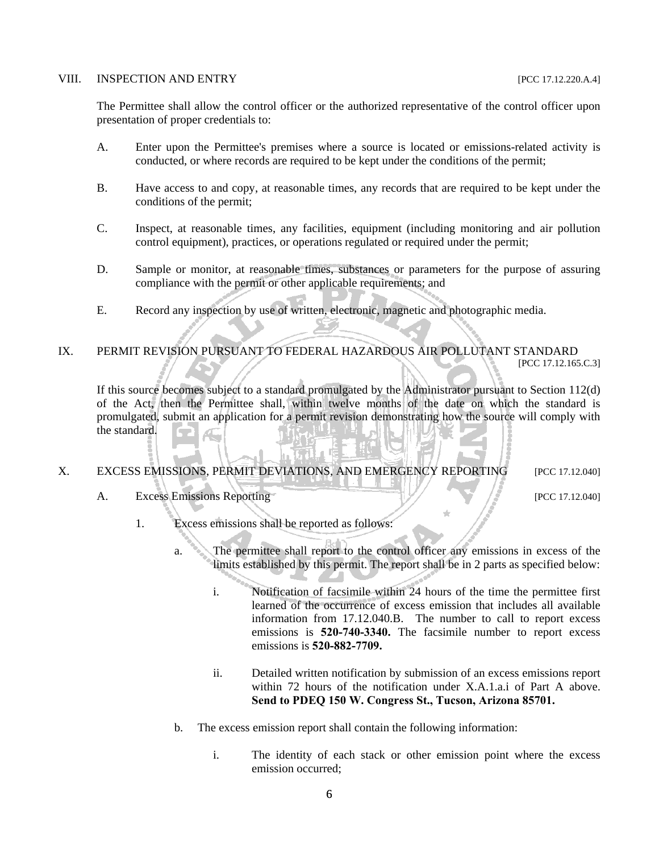#### VIII. INSPECTION AND ENTRY [PCC 17.12.220.A.4]

The Permittee shall allow the control officer or the authorized representative of the control officer upon presentation of proper credentials to:

- A. Enter upon the Permittee's premises where a source is located or emissions-related activity is conducted, or where records are required to be kept under the conditions of the permit;
- B. Have access to and copy, at reasonable times, any records that are required to be kept under the conditions of the permit;
- C. Inspect, at reasonable times, any facilities, equipment (including monitoring and air pollution control equipment), practices, or operations regulated or required under the permit;
- D. Sample or monitor, at reasonable times, substances or parameters for the purpose of assuring compliance with the permit or other applicable requirements; and
- E. Record any inspection by use of written, electronic, magnetic and photographic media.

#### IX. PERMIT REVISION PURSUANT TO FEDERAL HAZARDOUS AIR POLLUTANT STANDARD [PCC 17.12.165.C.3]

If this source becomes subject to a standard promulgated by the Administrator pursuant to Section 112(d) of the Act, then the Permittee shall, within twelve months of the date on which the standard is promulgated, submit an application for a permit revision demonstrating how the source will comply with the standard. Æ

#### X. EXCESS EMISSIONS, PERMIT DEVIATIONS, AND EMERGENCY REPORTING [PCC 17.12.040]

A. Excess Emissions Reporting [PCC 17.12.040]

- 1. Excess emissions shall be reported as follows:
	- a. The permittee shall report to the control officer any emissions in excess of the limits established by this permit. The report shall be in 2 parts as specified below:
		- i. Notification of facsimile within 24 hours of the time the permittee first learned of the occurrence of excess emission that includes all available information from 17.12.040.B. The number to call to report excess emissions is **520-740-3340.** The facsimile number to report excess emissions is **520-882-7709.**
		- ii. Detailed written notification by submission of an excess emissions report within 72 hours of the notification under X.A.1.a.i of Part A above. **Send to PDEQ 150 W. Congress St., Tucson, Arizona 85701.**
	- b. The excess emission report shall contain the following information:
		- i. The identity of each stack or other emission point where the excess emission occurred;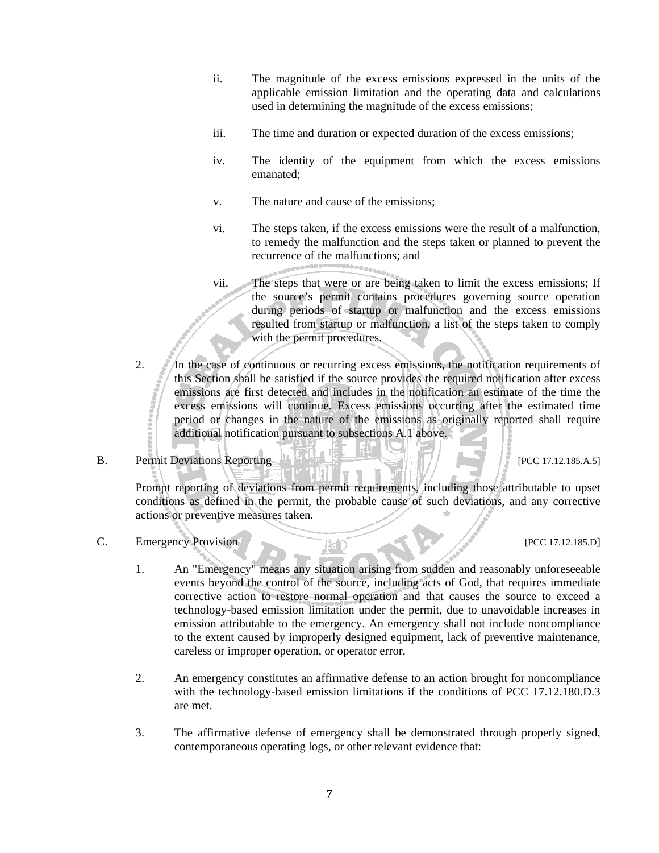- ii. The magnitude of the excess emissions expressed in the units of the applicable emission limitation and the operating data and calculations used in determining the magnitude of the excess emissions;
- iii. The time and duration or expected duration of the excess emissions;
- iv. The identity of the equipment from which the excess emissions emanated;
- v. The nature and cause of the emissions;
- vi. The steps taken, if the excess emissions were the result of a malfunction, to remedy the malfunction and the steps taken or planned to prevent the recurrence of the malfunctions; and

vii. The steps that were or are being taken to limit the excess emissions; If the source's permit contains procedures governing source operation during periods of startup or malfunction and the excess emissions resulted from startup or malfunction, a list of the steps taken to comply with the permit procedures.

2. In the case of continuous or recurring excess emissions, the notification requirements of this Section shall be satisfied if the source provides the required notification after excess emissions are first detected and includes in the notification an estimate of the time the excess emissions will continue. Excess emissions occurring after the estimated time period or changes in the nature of the emissions as originally reported shall require additional notification pursuant to subsections A.1 above.

#### B. Permit Deviations Reporting  $\mathbb{R}$  Permit Deviations Reporting  $\mathbb{R}$  PCC 17.12.185.A.5]

Prompt reporting of deviations from permit requirements, including those attributable to upset conditions as defined in the permit, the probable cause of such deviations, and any corrective actions or preventive measures taken.

C. Emergency Provision [PCC 17.12.185.D]

- 1. An "Emergency" means any situation arising from sudden and reasonably unforeseeable events beyond the control of the source, including acts of God, that requires immediate corrective action to restore normal operation and that causes the source to exceed a technology-based emission limitation under the permit, due to unavoidable increases in emission attributable to the emergency. An emergency shall not include noncompliance to the extent caused by improperly designed equipment, lack of preventive maintenance, careless or improper operation, or operator error.
- 2. An emergency constitutes an affirmative defense to an action brought for noncompliance with the technology-based emission limitations if the conditions of PCC 17.12.180.D.3 are met.
- 3. The affirmative defense of emergency shall be demonstrated through properly signed, contemporaneous operating logs, or other relevant evidence that: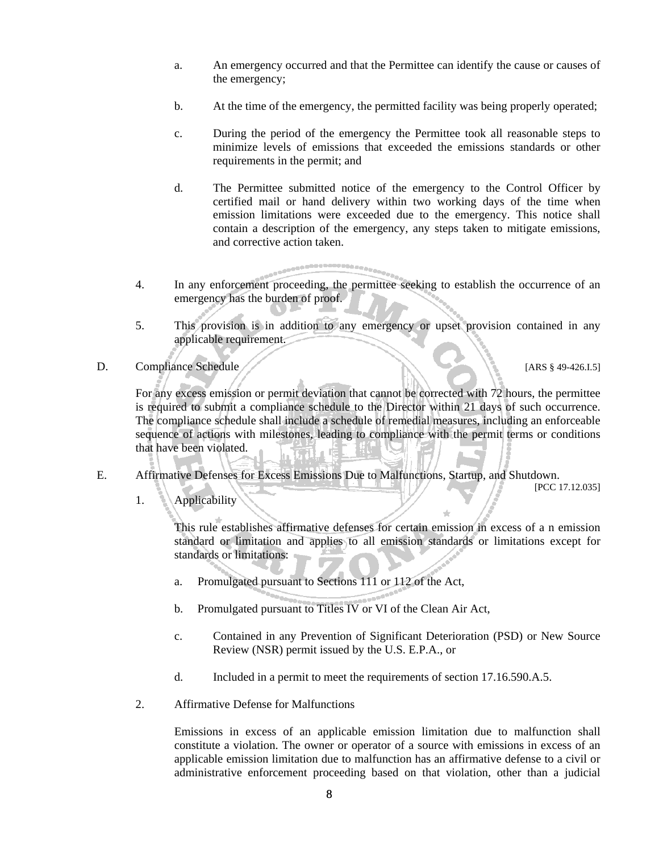- a. An emergency occurred and that the Permittee can identify the cause or causes of the emergency;
- b. At the time of the emergency, the permitted facility was being properly operated;
- c. During the period of the emergency the Permittee took all reasonable steps to minimize levels of emissions that exceeded the emissions standards or other requirements in the permit; and
- d. The Permittee submitted notice of the emergency to the Control Officer by certified mail or hand delivery within two working days of the time when emission limitations were exceeded due to the emergency. This notice shall contain a description of the emergency, any steps taken to mitigate emissions, and corrective action taken.
- 4. In any enforcement proceeding, the permittee seeking to establish the occurrence of an emergency has the burden of proof.
- 5. This provision is in addition to any emergency or upset provision contained in any applicable requirement.
- D. Compliance Schedule (ARS § 49-426.I.5]

 For any excess emission or permit deviation that cannot be corrected with 72 hours, the permittee is required to submit a compliance schedule to the Director within 21 days of such occurrence. The compliance schedule shall include a schedule of remedial measures, including an enforceable sequence of actions with milestones, leading to compliance with the permit terms or conditions that have been violated.

E. Affirmative Defenses for Excess Emissions Due to Malfunctions, Startup, and Shutdown. [PCC 17.12.035]

1. Applicability

This rule establishes affirmative defenses for certain emission in excess of a n emission standard or limitation and applies to all emission standards or limitations except for standards or limitations:

- a. Promulgated pursuant to Sections 111 or 112 of the Act,
- b. Promulgated pursuant to Titles IV or VI of the Clean Air Act,
- c. Contained in any Prevention of Significant Deterioration (PSD) or New Source Review (NSR) permit issued by the U.S. E.P.A., or
- d. Included in a permit to meet the requirements of section 17.16.590.A.5.
- 2. Affirmative Defense for Malfunctions

Emissions in excess of an applicable emission limitation due to malfunction shall constitute a violation. The owner or operator of a source with emissions in excess of an applicable emission limitation due to malfunction has an affirmative defense to a civil or administrative enforcement proceeding based on that violation, other than a judicial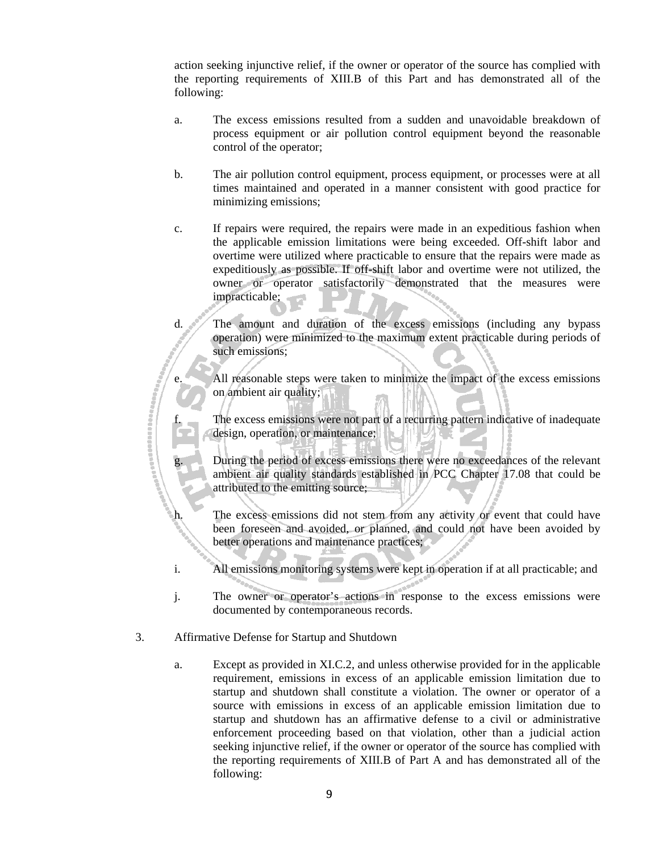action seeking injunctive relief, if the owner or operator of the source has complied with the reporting requirements of XIII.B of this Part and has demonstrated all of the following:

- a. The excess emissions resulted from a sudden and unavoidable breakdown of process equipment or air pollution control equipment beyond the reasonable control of the operator;
- b. The air pollution control equipment, process equipment, or processes were at all times maintained and operated in a manner consistent with good practice for minimizing emissions;
- c. If repairs were required, the repairs were made in an expeditious fashion when the applicable emission limitations were being exceeded. Off-shift labor and overtime were utilized where practicable to ensure that the repairs were made as expeditiously as possible. If off-shift labor and overtime were not utilized, the owner or operator satisfactorily demonstrated that the measures were impracticable;
- d. The amount and duration of the excess emissions (including any bypass operation) were minimized to the maximum extent practicable during periods of such emissions;

 e. All reasonable steps were taken to minimize the impact of the excess emissions on ambient air quality;

f. The excess emissions were not part of a recurring pattern indicative of inadequate<br>design, operation, or maintenance;<br>g. During the period of excess emissions there were no exceedances of the relevant design, operation, or maintenance;

During the period of excess emissions there were no exceedances of the relevant ambient air quality standards established in PCC Chapter 17.08 that could be attributed to the emitting source;

 h. The excess emissions did not stem from any activity or event that could have been foreseen and avoided, or planned, and could not have been avoided by better operations and maintenance practices;

- i. All emissions monitoring systems were kept in operation if at all practicable; and
- j. The owner or operator's actions in response to the excess emissions were documented by contemporaneous records.
- 3. Affirmative Defense for Startup and Shutdown
	- a. Except as provided in XI.C.2, and unless otherwise provided for in the applicable requirement, emissions in excess of an applicable emission limitation due to startup and shutdown shall constitute a violation. The owner or operator of a source with emissions in excess of an applicable emission limitation due to startup and shutdown has an affirmative defense to a civil or administrative enforcement proceeding based on that violation, other than a judicial action seeking injunctive relief, if the owner or operator of the source has complied with the reporting requirements of XIII.B of Part A and has demonstrated all of the following: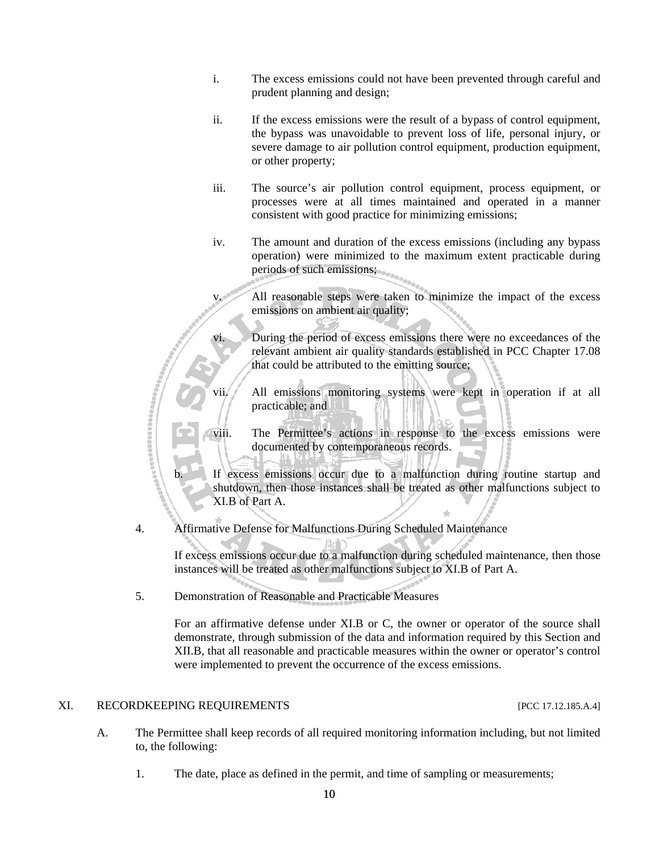- i. The excess emissions could not have been prevented through careful and prudent planning and design;
- ii. If the excess emissions were the result of a bypass of control equipment, the bypass was unavoidable to prevent loss of life, personal injury, or severe damage to air pollution control equipment, production equipment, or other property;
- iii. The source's air pollution control equipment, process equipment, or processes were at all times maintained and operated in a manner consistent with good practice for minimizing emissions;
- iv. The amount and duration of the excess emissions (including any bypass operation) were minimized to the maximum extent practicable during periods of such emissions;

 v. All reasonable steps were taken to minimize the impact of the excess emissions on ambient air quality;

During the period of excess emissions there were no exceedances of the relevant ambient air quality standards established in PCC Chapter 17.08 that could be attributed to the emitting source;

 vii. All emissions monitoring systems were kept in operation if at all practicable; and

viii. The Permittee's actions in response to the excess emissions were documented by contemporaneous records. documented by contemporaneous records.

If excess emissions occur due to a malfunction during routine startup and shutdown, then those instances shall be treated as other malfunctions subject to XI.B of Part A.

4. Affirmative Defense for Malfunctions During Scheduled Maintenance

If excess emissions occur due to a malfunction during scheduled maintenance, then those instances will be treated as other malfunctions subject to XI.B of Part A.

5. Demonstration of Reasonable and Practicable Measures

For an affirmative defense under XI.B or C, the owner or operator of the source shall demonstrate, through submission of the data and information required by this Section and XII.B, that all reasonable and practicable measures within the owner or operator's control were implemented to prevent the occurrence of the excess emissions.

#### XI. RECORDKEEPING REQUIREMENTS [PCC 17.12.185.A.4]

- A. The Permittee shall keep records of all required monitoring information including, but not limited to, the following:
	- 1. The date, place as defined in the permit, and time of sampling or measurements;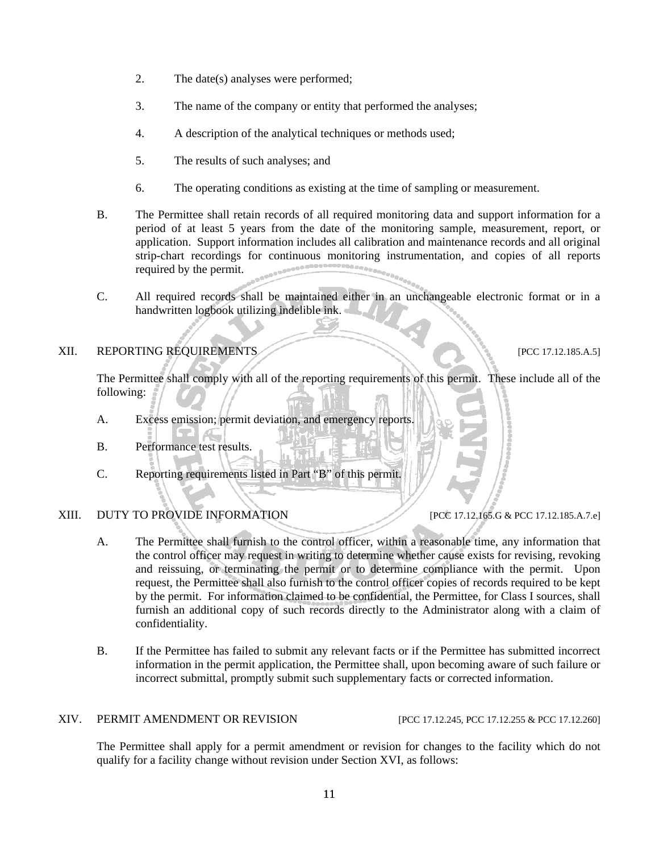- 2. The date(s) analyses were performed;
- 3. The name of the company or entity that performed the analyses;
- 4. A description of the analytical techniques or methods used;
- 5. The results of such analyses; and
- 6. The operating conditions as existing at the time of sampling or measurement.
- B. The Permittee shall retain records of all required monitoring data and support information for a period of at least 5 years from the date of the monitoring sample, measurement, report, or application. Support information includes all calibration and maintenance records and all original strip-chart recordings for continuous monitoring instrumentation, and copies of all reports required by the permit.
- C. All required records shall be maintained either in an unchangeable electronic format or in a handwritten logbook utilizing indelible ink.

#### XII. REPORTING REQUIREMENTS [PCC 17.12.185.A.5]

The Permittee shall comply with all of the reporting requirements of this permit. These include all of the following:

- A. Excess emission; permit deviation, and emergency reports.
- B. Performance test results.
- C. Reporting requirements listed in Part "B" of this permit.

#### XIII. DUTY TO PROVIDE INFORMATION [PCC 17.12.165.G & PCC 17.12.185.A.7.e]

- A. The Permittee shall furnish to the control officer, within a reasonable time, any information that the control officer may request in writing to determine whether cause exists for revising, revoking and reissuing, or terminating the permit or to determine compliance with the permit. Upon request, the Permittee shall also furnish to the control officer copies of records required to be kept by the permit. For information claimed to be confidential, the Permittee, for Class I sources, shall furnish an additional copy of such records directly to the Administrator along with a claim of confidentiality.
- B. If the Permittee has failed to submit any relevant facts or if the Permittee has submitted incorrect information in the permit application, the Permittee shall, upon becoming aware of such failure or incorrect submittal, promptly submit such supplementary facts or corrected information.

#### XIV. PERMIT AMENDMENT OR REVISION [PCC 17.12.245, PCC 17.12.255 & PCC 17.12.260]

The Permittee shall apply for a permit amendment or revision for changes to the facility which do not qualify for a facility change without revision under Section XVI, as follows: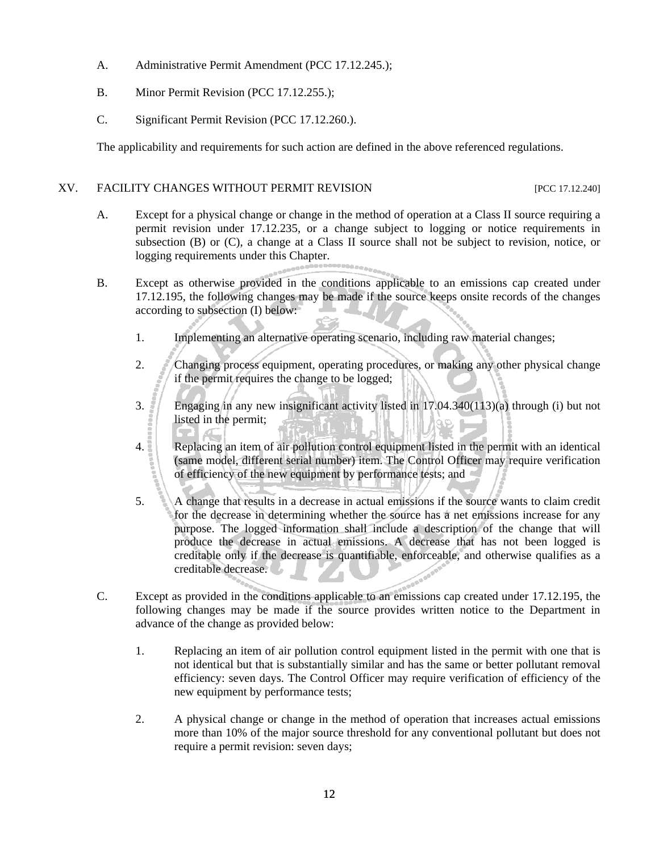- A. Administrative Permit Amendment (PCC 17.12.245.);
- B. Minor Permit Revision (PCC 17.12.255.);
- C. Significant Permit Revision (PCC 17.12.260.).

The applicability and requirements for such action are defined in the above referenced regulations.

#### XV. FACILITY CHANGES WITHOUT PERMIT REVISION [PCC 17.12.240]

- A. Except for a physical change or change in the method of operation at a Class II source requiring a permit revision under 17.12.235, or a change subject to logging or notice requirements in subsection (B) or (C), a change at a Class II source shall not be subject to revision, notice, or logging requirements under this Chapter.
- B. Except as otherwise provided in the conditions applicable to an emissions cap created under 17.12.195, the following changes may be made if the source keeps onsite records of the changes according to subsection (I) below:
	- 1. Implementing an alternative operating scenario, including raw material changes;
	- 2. Changing process equipment, operating procedures, or making any other physical change if the permit requires the change to be logged;
	- 3. Engaging in any new insignificant activity listed in 17.04.340(113)(a) through (i) but not listed in the permit;
	- 4. Replacing an item of air pollution control equipment listed in the permit with an identical (same model, different serial number) item. The Control Officer may require verification of efficiency of the new equipment by performance tests; and
	- 5. A change that results in a decrease in actual emissions if the source wants to claim credit for the decrease in determining whether the source has a net emissions increase for any purpose. The logged information shall include a description of the change that will produce the decrease in actual emissions. A decrease that has not been logged is creditable only if the decrease is quantifiable, enforceable, and otherwise qualifies as a creditable decrease.
- C. Except as provided in the conditions applicable to an emissions cap created under 17.12.195, the following changes may be made if the source provides written notice to the Department in advance of the change as provided below:
	- 1. Replacing an item of air pollution control equipment listed in the permit with one that is not identical but that is substantially similar and has the same or better pollutant removal efficiency: seven days. The Control Officer may require verification of efficiency of the new equipment by performance tests;
	- 2. A physical change or change in the method of operation that increases actual emissions more than 10% of the major source threshold for any conventional pollutant but does not require a permit revision: seven days;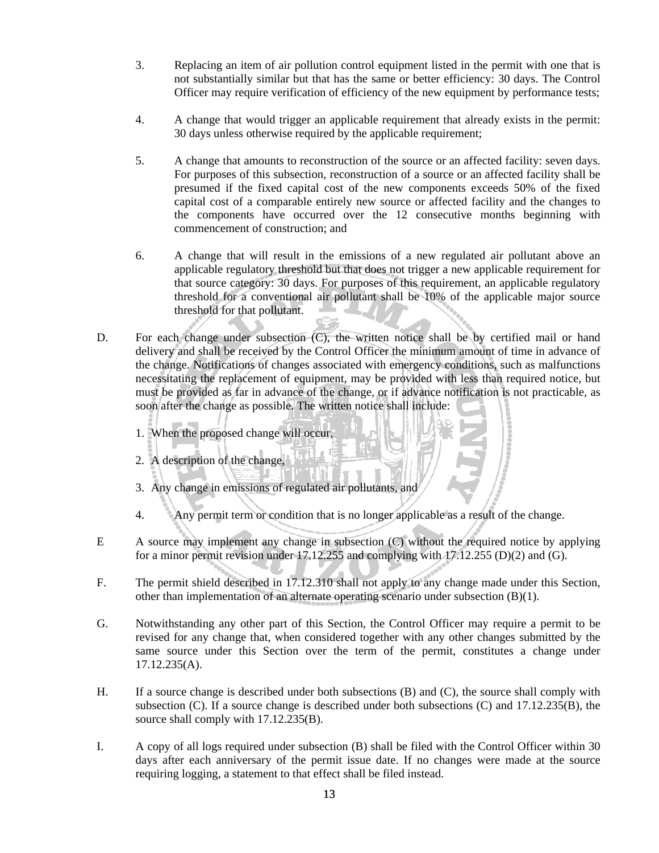- 3. Replacing an item of air pollution control equipment listed in the permit with one that is not substantially similar but that has the same or better efficiency: 30 days. The Control Officer may require verification of efficiency of the new equipment by performance tests;
- 4. A change that would trigger an applicable requirement that already exists in the permit: 30 days unless otherwise required by the applicable requirement;
- 5. A change that amounts to reconstruction of the source or an affected facility: seven days. For purposes of this subsection, reconstruction of a source or an affected facility shall be presumed if the fixed capital cost of the new components exceeds 50% of the fixed capital cost of a comparable entirely new source or affected facility and the changes to the components have occurred over the 12 consecutive months beginning with commencement of construction; and
- 6. A change that will result in the emissions of a new regulated air pollutant above an applicable regulatory threshold but that does not trigger a new applicable requirement for that source category: 30 days. For purposes of this requirement, an applicable regulatory threshold for a conventional air pollutant shall be 10% of the applicable major source threshold for that pollutant.
- D. For each change under subsection (C), the written notice shall be by certified mail or hand delivery and shall be received by the Control Officer the minimum amount of time in advance of the change. Notifications of changes associated with emergency conditions, such as malfunctions necessitating the replacement of equipment, may be provided with less than required notice, but must be provided as far in advance of the change, or if advance notification is not practicable, as soon after the change as possible. The written notice shall include:
	- 1. When the proposed change will occur,
	- 2. A description of the change,
	- 3. Any change in emissions of regulated air pollutants, and
	- 4. Any permit term or condition that is no longer applicable as a result of the change.
- E A source may implement any change in subsection (C) without the required notice by applying for a minor permit revision under 17.12.255 and complying with 17.12.255 (D)(2) and (G).
- F. The permit shield described in 17.12.310 shall not apply to any change made under this Section, other than implementation of an alternate operating scenario under subsection (B)(1).
- G. Notwithstanding any other part of this Section, the Control Officer may require a permit to be revised for any change that, when considered together with any other changes submitted by the same source under this Section over the term of the permit, constitutes a change under 17.12.235(A).
- H. If a source change is described under both subsections (B) and (C), the source shall comply with subsection (C). If a source change is described under both subsections (C) and 17.12.235(B), the source shall comply with  $17.12.235(B)$ .
- I. A copy of all logs required under subsection (B) shall be filed with the Control Officer within 30 days after each anniversary of the permit issue date. If no changes were made at the source requiring logging, a statement to that effect shall be filed instead.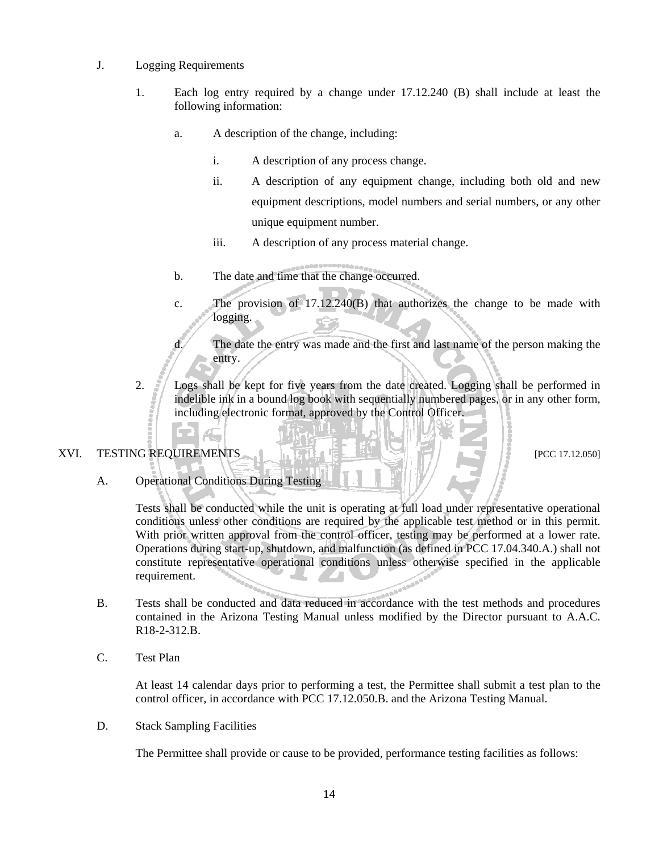#### J. Logging Requirements

- 1. Each log entry required by a change under 17.12.240 (B) shall include at least the following information:
	- a. A description of the change, including:
		- i. A description of any process change.
		- ii. A description of any equipment change, including both old and new equipment descriptions, model numbers and serial numbers, or any other unique equipment number.
		- iii. A description of any process material change.
	- b. The date and time that the change occurred.
	- c. The provision of 17.12.240(B) that authorizes the change to be made with logging.
	- d. The date the entry was made and the first and last name of the person making the entry.
- 2. Logs shall be kept for five years from the date created. Logging shall be performed in indelible ink in a bound log book with sequentially numbered pages, or in any other form, including electronic format, approved by the Control Officer.

#### XVI. TESTING REQUIREMENTS  $\|\cdot\|$  if  $\|\cdot\|$  if  $\|\cdot\|$  if  $\|\cdot\|$

A. Operational Conditions During Testing

A.,

Tests shall be conducted while the unit is operating at full load under representative operational conditions unless other conditions are required by the applicable test method or in this permit. With prior written approval from the control officer, testing may be performed at a lower rate. Operations during start-up, shutdown, and malfunction (as defined in PCC 17.04.340.A.) shall not constitute representative operational conditions unless otherwise specified in the applicable requirement. **Album** 

- B. Tests shall be conducted and data reduced in accordance with the test methods and procedures contained in the Arizona Testing Manual unless modified by the Director pursuant to A.A.C. R18-2-312.B.
- C. Test Plan

At least 14 calendar days prior to performing a test, the Permittee shall submit a test plan to the control officer, in accordance with PCC 17.12.050.B. and the Arizona Testing Manual.

D. Stack Sampling Facilities

The Permittee shall provide or cause to be provided, performance testing facilities as follows: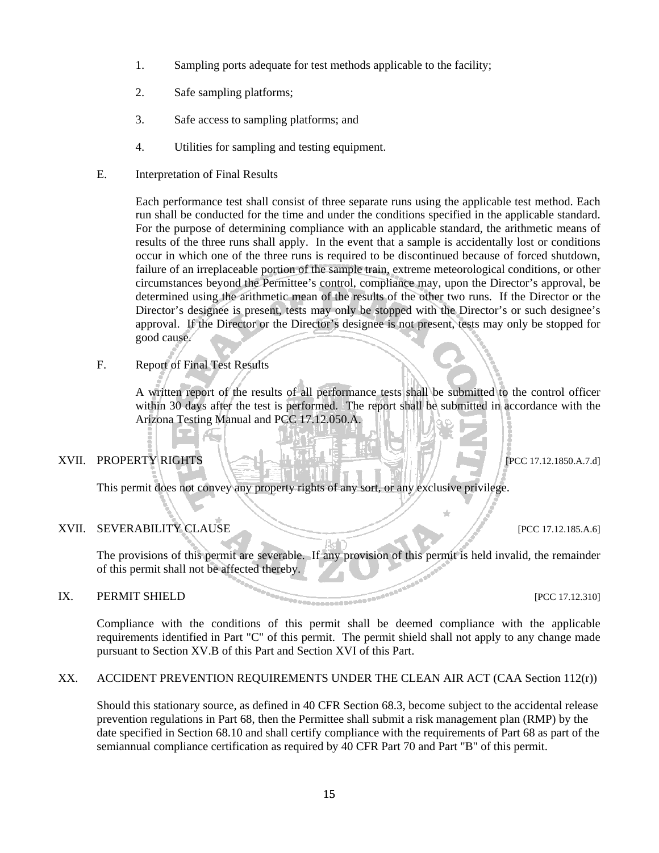- 1. Sampling ports adequate for test methods applicable to the facility;
- 2. Safe sampling platforms;
- 3. Safe access to sampling platforms; and
- 4. Utilities for sampling and testing equipment.
- E. Interpretation of Final Results

Each performance test shall consist of three separate runs using the applicable test method. Each run shall be conducted for the time and under the conditions specified in the applicable standard. For the purpose of determining compliance with an applicable standard, the arithmetic means of results of the three runs shall apply. In the event that a sample is accidentally lost or conditions occur in which one of the three runs is required to be discontinued because of forced shutdown, failure of an irreplaceable portion of the sample train, extreme meteorological conditions, or other circumstances beyond the Permittee's control, compliance may, upon the Director's approval, be determined using the arithmetic mean of the results of the other two runs. If the Director or the Director's designee is present, tests may only be stopped with the Director's or such designee's approval. If the Director or the Director's designee is not present, tests may only be stopped for good cause.

F. Report of Final Test Results

A.,

A written report of the results of all performance tests shall be submitted to the control officer within 30 days after the test is performed. The report shall be submitted in accordance with the Arizona Testing Manual and PCC 17.12.050.A.

#### XVII. PROPERTY RIGHTS  $\left| \frac{1}{2} \right| \leq 1$

This permit does not convey any property rights of any sort, or any exclusive privilege.

#### XVII. SEVERABILITY CLAUSE [PCC 17.12.185.A.6]

The provisions of this permit are severable. If any provision of this permit is held invalid, the remainder of this permit shall not be affected thereby.

# IX. PERMIT SHIELD [PCC 17.12.310]

Compliance with the conditions of this permit shall be deemed compliance with the applicable requirements identified in Part "C" of this permit. The permit shield shall not apply to any change made pursuant to Section XV.B of this Part and Section XVI of this Part.

#### XX. ACCIDENT PREVENTION REQUIREMENTS UNDER THE CLEAN AIR ACT (CAA Section 112(r))

Should this stationary source, as defined in 40 CFR Section 68.3, become subject to the accidental release prevention regulations in Part 68, then the Permittee shall submit a risk management plan (RMP) by the date specified in Section 68.10 and shall certify compliance with the requirements of Part 68 as part of the semiannual compliance certification as required by 40 CFR Part 70 and Part "B" of this permit.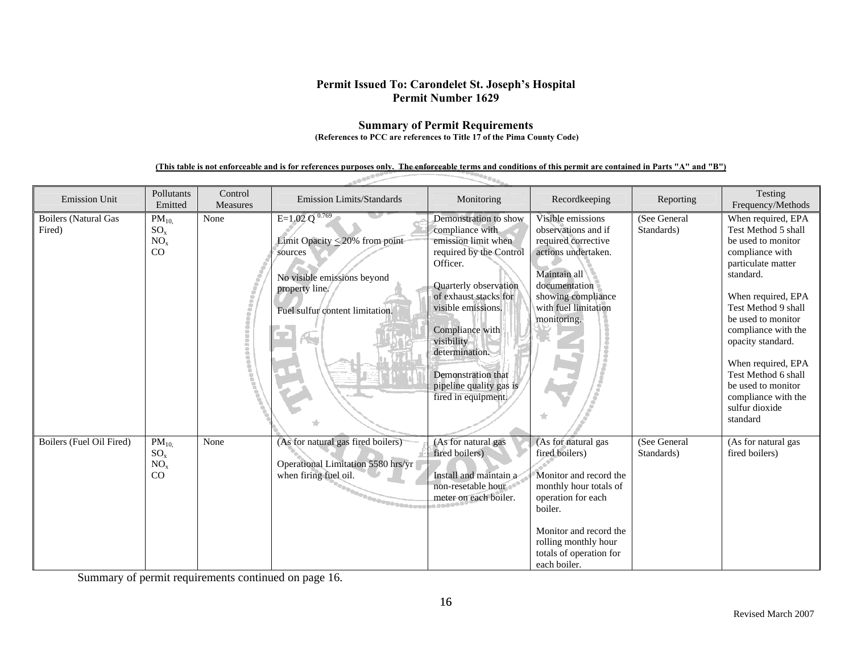#### **Summary of Permit Requirements (References to PCC are references to Title 17 of the Pima County Code)**

## **(This table is not enforceable and is for references purposes only. The enforceable terms and conditions of this permit are contained in Parts "A" and "B")**

العهيب

| <b>Emission Unit</b>                  | Pollutants<br>Emitted                          | Control<br>Measures | <b>Emission Limits/Standards</b>                                                                                                                         | Monitoring                                                                                                                                                                                                                                                                                                | Recordkeeping                                                                                                                                                                                                           | Reporting                  | Testing<br>Frequency/Methods                                                                                                                                                                                                                                                                                                                                 |
|---------------------------------------|------------------------------------------------|---------------------|----------------------------------------------------------------------------------------------------------------------------------------------------------|-----------------------------------------------------------------------------------------------------------------------------------------------------------------------------------------------------------------------------------------------------------------------------------------------------------|-------------------------------------------------------------------------------------------------------------------------------------------------------------------------------------------------------------------------|----------------------------|--------------------------------------------------------------------------------------------------------------------------------------------------------------------------------------------------------------------------------------------------------------------------------------------------------------------------------------------------------------|
| <b>Boilers</b> (Natural Gas<br>Fired) | $PM_{10}$<br>$SO_x$<br>NO <sub>x</sub><br>CO   | None                | $E=1.02 Q^{0.769}$<br>Limit Opacity $\leq$ 20% from point<br>sources<br>No visible emissions beyond<br>property line.<br>Fuel sulfur content limitation. | Demonstration to show<br>compliance with<br>emission limit when<br>required by the Control<br>Officer.<br>Quarterly observation<br>of exhaust stacks for<br>visible emissions.<br>Compliance with<br>visibility<br>determination.<br>Demonstration that<br>pipeline quality gas is<br>fired in equipment. | Visible emissions<br>observations and if<br>required corrective<br>actions undertaken.<br>Maintain all<br>documentation<br>showing compliance<br>with fuel limitation<br>monitoring.                                    | (See General<br>Standards) | When required, EPA<br>Test Method 5 shall<br>be used to monitor<br>compliance with<br>particulate matter<br>standard.<br>When required, EPA<br>Test Method 9 shall<br>be used to monitor<br>compliance with the<br>opacity standard.<br>When required, EPA<br>Test Method 6 shall<br>be used to monitor<br>compliance with the<br>sulfur dioxide<br>standard |
| Boilers (Fuel Oil Fired)              | $PM_{10}$<br>$SO_{x}$<br>NO <sub>x</sub><br>CO | None                | (As for natural gas fired boilers)<br>Operational Limitation 5580 hrs/yr<br>when firing fuel oil.<br><b>Pagagonesser</b>                                 | (As for natural gas<br>fired boilers)<br>Install and maintain a<br>non-resetable hour<br>meter on each boiler.                                                                                                                                                                                            | (As for natural gas<br>fired boilers)<br>Monitor and record the<br>monthly hour totals of<br>operation for each<br>boiler.<br>Monitor and record the<br>rolling monthly hour<br>totals of operation for<br>each boiler. | (See General<br>Standards) | (As for natural gas<br>fired boilers)                                                                                                                                                                                                                                                                                                                        |

Summary of permit requirements continued on page 16.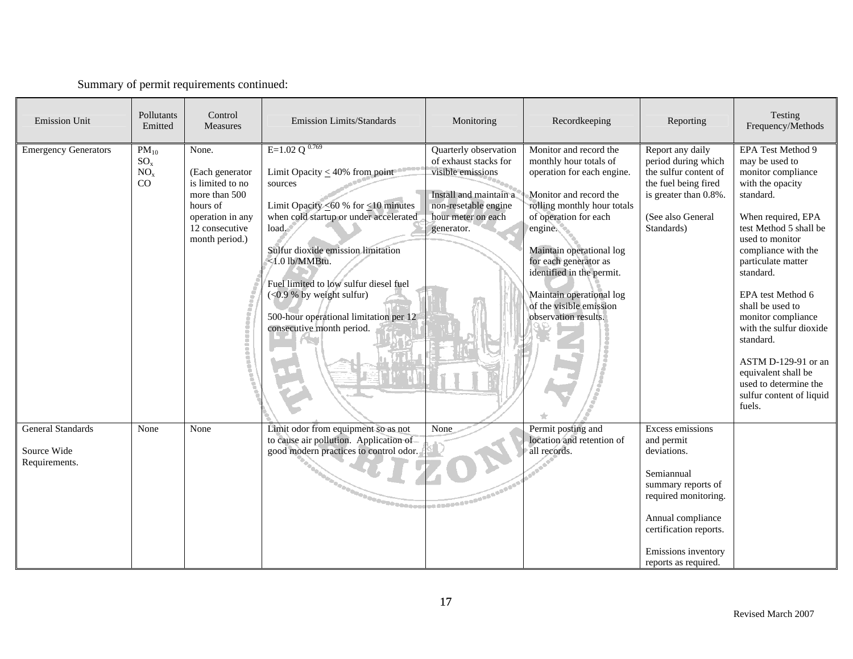|  |  | Summary of permit requirements continued: |  |
|--|--|-------------------------------------------|--|
|--|--|-------------------------------------------|--|

| <b>Emission Unit</b>                                     | Pollutants<br>Emitted                          | Control<br><b>Measures</b>                                                                                                        | <b>Emission Limits/Standards</b>                                                                                                                                                                                                                                                                                                                                                     | Monitoring                                                                                                                                                | Recordkeeping                                                                                                                                                                                                                                                                                                                                | Reporting                                                                                                                                                                                               | Testing<br>Frequency/Methods                                                                                                                                                                                                                                                                                                                                                                                                                       |
|----------------------------------------------------------|------------------------------------------------|-----------------------------------------------------------------------------------------------------------------------------------|--------------------------------------------------------------------------------------------------------------------------------------------------------------------------------------------------------------------------------------------------------------------------------------------------------------------------------------------------------------------------------------|-----------------------------------------------------------------------------------------------------------------------------------------------------------|----------------------------------------------------------------------------------------------------------------------------------------------------------------------------------------------------------------------------------------------------------------------------------------------------------------------------------------------|---------------------------------------------------------------------------------------------------------------------------------------------------------------------------------------------------------|----------------------------------------------------------------------------------------------------------------------------------------------------------------------------------------------------------------------------------------------------------------------------------------------------------------------------------------------------------------------------------------------------------------------------------------------------|
| <b>Emergency Generators</b>                              | $PM_{10}$<br>$SO_{x}$<br>NO <sub>x</sub><br>CO | None.<br>(Each generator<br>is limited to no<br>more than 500<br>hours of<br>operation in any<br>12 consecutive<br>month period.) | E=1.02 Q $^{0.769}$<br>Limit Opacity $\leq 40\%$ from point<br>sources<br>Limit Opacity $\leq 60$ % for $\leq 10$ minutes<br>when cold startup or under accelerated<br>load.<br>Sulfur dioxide emission limitation<br><1.0 lb/MMBtu.<br>Fuel limited to low sulfur diesel fuel<br>$(<0.9 %$ by weight sulfur)<br>500-hour operational limitation per 12<br>consecutive month period. | Quarterly observation<br>of exhaust stacks for<br>visible emissions<br>Install and maintain a<br>non-resetable engine<br>hour meter on each<br>generator. | Monitor and record the<br>monthly hour totals of<br>operation for each engine.<br>Monitor and record the<br>rolling monthly hour totals<br>of operation for each<br>engine.<br>Maintain operational log<br>for each generator as<br>identified in the permit.<br>Maintain operational log<br>of the visible emission<br>observation results. | Report any daily<br>period during which<br>the sulfur content of<br>the fuel being fired<br>is greater than 0.8%.<br>(See also General<br>Standards)                                                    | <b>EPA Test Method 9</b><br>may be used to<br>monitor compliance<br>with the opacity<br>standard.<br>When required, EPA<br>test Method 5 shall be<br>used to monitor<br>compliance with the<br>particulate matter<br>standard.<br>EPA test Method 6<br>shall be used to<br>monitor compliance<br>with the sulfur dioxide<br>standard.<br>ASTM D-129-91 or an<br>equivalent shall be<br>used to determine the<br>sulfur content of liquid<br>fuels. |
| <b>General Standards</b><br>Source Wide<br>Requirements. | None                                           | None                                                                                                                              | Limit odor from equipment so as not<br>to cause air pollution. Application of<br>good modern practices to control odor.<br><b>BOODDOODDOODDOODDOODDO</b>                                                                                                                                                                                                                             | None                                                                                                                                                      | Permit posting and<br>location and retention of<br>all records.                                                                                                                                                                                                                                                                              | Excess emissions<br>and permit<br>deviations.<br>Semiannual<br>summary reports of<br>required monitoring.<br>Annual compliance<br>certification reports.<br>Emissions inventory<br>reports as required. |                                                                                                                                                                                                                                                                                                                                                                                                                                                    |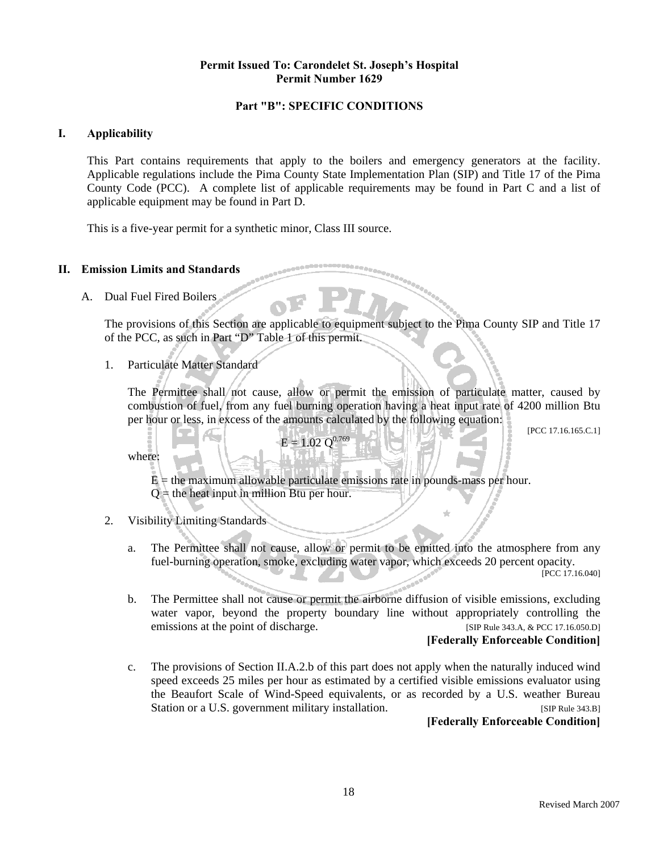#### **Part "B": SPECIFIC CONDITIONS**

#### **I. Applicability**

This Part contains requirements that apply to the boilers and emergency generators at the facility. Applicable regulations include the Pima County State Implementation Plan (SIP) and Title 17 of the Pima County Code (PCC). A complete list of applicable requirements may be found in Part C and a list of applicable equipment may be found in Part D.

This is a five-year permit for a synthetic minor, Class III source.

#### **II. Emission Limits and Standards**

A. Dual Fuel Fired Boilers

The provisions of this Section are applicable to equipment subject to the Pima County SIP and Title 17 of the PCC, as such in Part "D" Table 1 of this permit.

1. Particulate Matter Standard

The Permittee shall not cause, allow or permit the emission of particulate matter, caused by combustion of fuel, from any fuel burning operation having a heat input rate of 4200 million Btu per hour or less, in excess of the amounts calculated by the following equation:

[PCC 17.16.165.C.1]

where:

 $E =$  the maximum allowable particulate emissions rate in pounds-mass per hour.  $Q =$  the heat input in million Btu per hour.

 $E = 1.02 \text{ O}^{0.769}$ 

#### 2. Visibility Limiting Standards

Æ.

a. The Permittee shall not cause, allow or permit to be emitted into the atmosphere from any fuel-burning operation, smoke, excluding water vapor, which exceeds 20 percent opacity.

[PCC 17.16.040]

b. The Permittee shall not cause or permit the airborne diffusion of visible emissions, excluding water vapor, beyond the property boundary line without appropriately controlling the emissions at the point of discharge. [SIP Rule 343.A, & PCC 17.16.050.D]

#### **[Federally Enforceable Condition]**

c. The provisions of Section II.A.2.b of this part does not apply when the naturally induced wind speed exceeds 25 miles per hour as estimated by a certified visible emissions evaluator using the Beaufort Scale of Wind-Speed equivalents, or as recorded by a U.S. weather Bureau Station or a U.S. government military installation. [SIP Rule 343.B]

**[Federally Enforceable Condition]**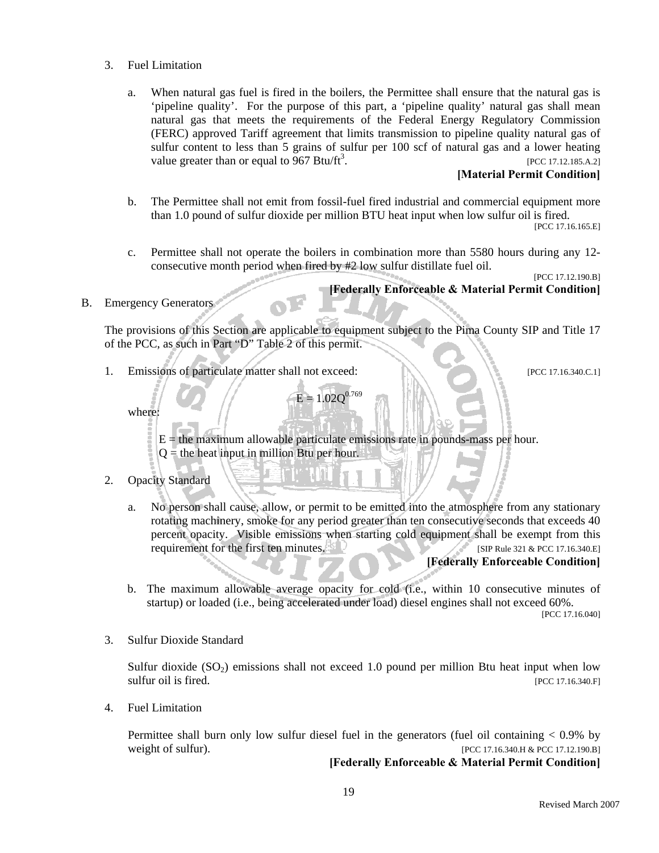- 3. Fuel Limitation
	- a. When natural gas fuel is fired in the boilers, the Permittee shall ensure that the natural gas is 'pipeline quality'. For the purpose of this part, a 'pipeline quality' natural gas shall mean natural gas that meets the requirements of the Federal Energy Regulatory Commission (FERC) approved Tariff agreement that limits transmission to pipeline quality natural gas of sulfur content to less than 5 grains of sulfur per 100 scf of natural gas and a lower heating value greater than or equal to 967 Btu/ft<sup>3</sup>. . [PCC 17.12.185.A.2]

#### **[Material Permit Condition]**

- b. The Permittee shall not emit from fossil-fuel fired industrial and commercial equipment more than 1.0 pound of sulfur dioxide per million BTU heat input when low sulfur oil is fired. [PCC 17.16.165.E]
- c. Permittee shall not operate the boilers in combination more than 5580 hours during any 12 consecutive month period when fired by #2 low sulfur distillate fuel oil.

[PCC 17.12.190.B] **[Federally Enforceable & Material Permit Condition]** 

### B. Emergency Generators

The provisions of this Section are applicable to equipment subject to the Pima County SIP and Title 17 of the PCC, as such in Part "D" Table 2 of this permit.

1. Emissions of particulate matter shall not exceed: [PCC 17.16.340.C.1]

where:

 $E =$  the maximum allowable particulate emissions rate in pounds-mass per hour.  $Q =$  the heat input in million Btu per hour.

 $E = 1.02$  $O^{0.769}$ 

- 2. Opacity Standard
	- a. No person shall cause, allow, or permit to be emitted into the atmosphere from any stationary rotating machinery, smoke for any period greater than ten consecutive seconds that exceeds 40 percent opacity. Visible emissions when starting cold equipment shall be exempt from this requirement for the first ten minutes. [SIP Rule 321 & PCC 17.16.340.E]

#### **[Federally Enforceable Condition]**

b. The maximum allowable average opacity for cold (i.e., within 10 consecutive minutes of startup) or loaded (i.e., being accelerated under load) diesel engines shall not exceed 60%.

[PCC 17.16.040]

3. Sulfur Dioxide Standard

Sulfur dioxide  $(SO_2)$  emissions shall not exceed 1.0 pound per million Btu heat input when low sulfur oil is fired. [PCC 17.16.340.F]

4. Fuel Limitation

 Permittee shall burn only low sulfur diesel fuel in the generators (fuel oil containing < 0.9% by weight of sulfur). [PCC 17.16.340.H & PCC 17.12.190.B]

**[Federally Enforceable & Material Permit Condition]**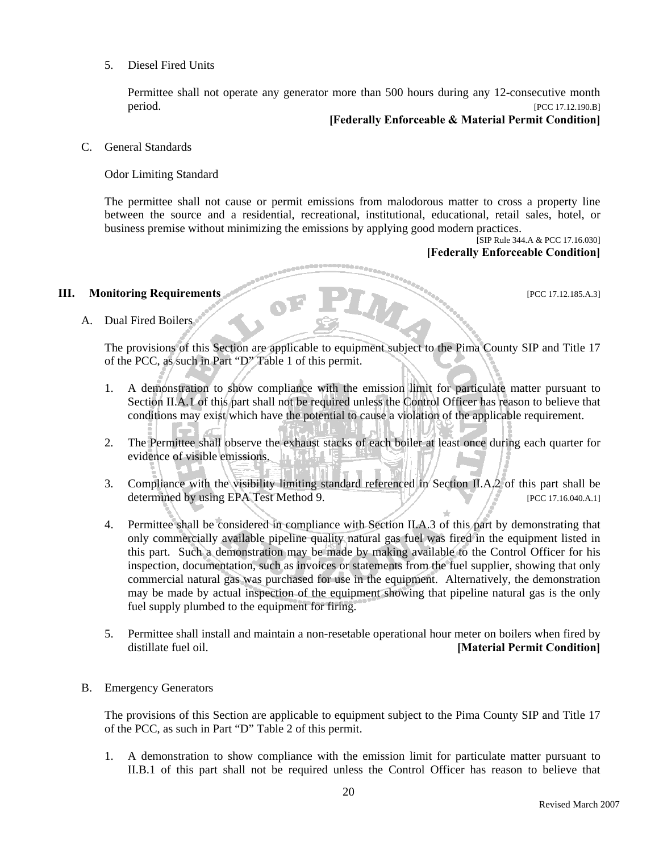#### 5. Diesel Fired Units

Permittee shall not operate any generator more than 500 hours during any 12-consecutive month period. [PCC 17.12.190.B]

#### **[Federally Enforceable & Material Permit Condition]**

#### C. General Standards

#### Odor Limiting Standard

The permittee shall not cause or permit emissions from malodorous matter to cross a property line between the source and a residential, recreational, institutional, educational, retail sales, hotel, or business premise without minimizing the emissions by applying good modern practices.

[SIP Rule 344.A & PCC 17.16.030] **[Federally Enforceable Condition]**

#### **III. Monitoring Requirements IPCC 17.12.185.A.3**]

A. Dual Fired Boilers

The provisions of this Section are applicable to equipment subject to the Pima County SIP and Title 17 of the PCC, as such in Part "D" Table 1 of this permit.

- 1. A demonstration to show compliance with the emission limit for particulate matter pursuant to Section II.A.1 of this part shall not be required unless the Control Officer has reason to believe that conditions may exist which have the potential to cause a violation of the applicable requirement.
- 2. The Permittee shall observe the exhaust stacks of each boiler at least once during each quarter for evidence of visible emissions.
- 3. Compliance with the visibility limiting standard referenced in Section II.A.2 of this part shall be determined by using EPA Test Method 9. [PCC 17.16.040.A.1]
- 4. Permittee shall be considered in compliance with Section II.A.3 of this part by demonstrating that only commercially available pipeline quality natural gas fuel was fired in the equipment listed in this part. Such a demonstration may be made by making available to the Control Officer for his inspection, documentation, such as invoices or statements from the fuel supplier, showing that only commercial natural gas was purchased for use in the equipment. Alternatively, the demonstration may be made by actual inspection of the equipment showing that pipeline natural gas is the only fuel supply plumbed to the equipment for firing.
- 5. Permittee shall install and maintain a non-resetable operational hour meter on boilers when fired by distillate fuel oil. **[Material Permit Condition]**

#### B. Emergency Generators

The provisions of this Section are applicable to equipment subject to the Pima County SIP and Title 17 of the PCC, as such in Part "D" Table 2 of this permit.

1. A demonstration to show compliance with the emission limit for particulate matter pursuant to II.B.1 of this part shall not be required unless the Control Officer has reason to believe that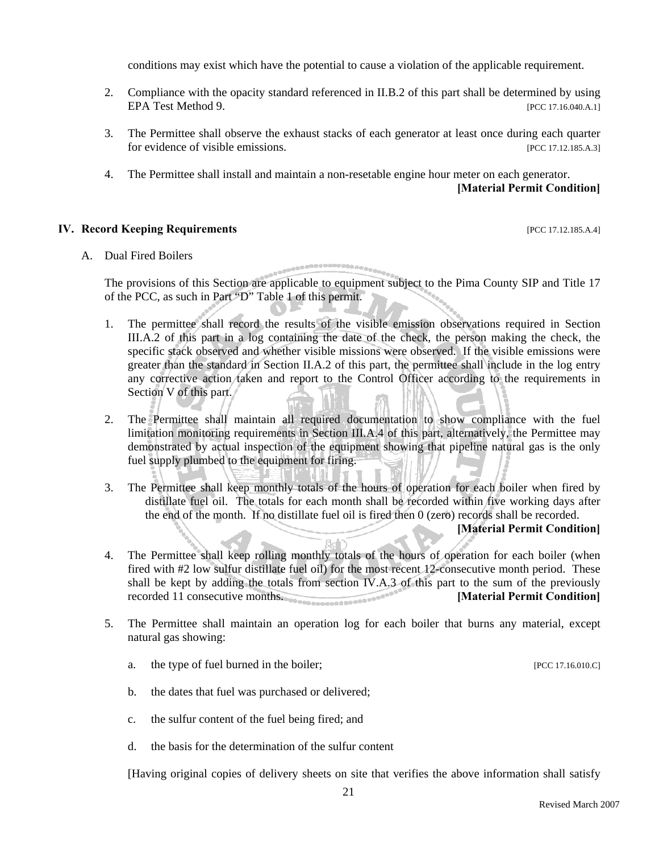conditions may exist which have the potential to cause a violation of the applicable requirement.

- 2. Compliance with the opacity standard referenced in II.B.2 of this part shall be determined by using EPA Test Method 9. [PCC 17.16.040.A.1]
- 3. The Permittee shall observe the exhaust stacks of each generator at least once during each quarter for evidence of visible emissions. [PCC 17.12.185.A.3]
- 4. The Permittee shall install and maintain a non-resetable engine hour meter on each generator.

#### **[Material Permit Condition]**

#### **IV. Record Keeping Requirements** *IV. Record Keeping Requirements*

#### A. Dual Fired Boilers

The provisions of this Section are applicable to equipment subject to the Pima County SIP and Title 17 of the PCC, as such in Part "D" Table 1 of this permit.

,,,,,,,,,,,,,,,,,,

- 1. The permittee shall record the results of the visible emission observations required in Section III.A.2 of this part in a log containing the date of the check, the person making the check, the specific stack observed and whether visible missions were observed. If the visible emissions were greater than the standard in Section II.A.2 of this part, the permittee shall include in the log entry any corrective action taken and report to the Control Officer according to the requirements in Section V of this part.
- 2. The Permittee shall maintain all required documentation to show compliance with the fuel limitation monitoring requirements in Section III.A.4 of this part, alternatively, the Permittee may demonstrated by actual inspection of the equipment showing that pipeline natural gas is the only fuel supply plumbed to the equipment for firing.
- 3. The Permittee shall keep monthly totals of the hours of operation for each boiler when fired by distillate fuel oil. The totals for each month shall be recorded within five working days after the end of the month. If no distillate fuel oil is fired then 0 (zero) records shall be recorded.

#### **[Material Permit Condition]**

- 4. The Permittee shall keep rolling monthly totals of the hours of operation for each boiler (when fired with #2 low sulfur distillate fuel oil) for the most recent 12-consecutive month period. These shall be kept by adding the totals from section IV.A.3 of this part to the sum of the previously recorded 11 consecutive months. **[Material Permit Condition]**
- 5. The Permittee shall maintain an operation log for each boiler that burns any material, except natural gas showing:
	- a. the type of fuel burned in the boiler; [PCC 17.16.010.C]
		-
	- b. the dates that fuel was purchased or delivered;
	- c. the sulfur content of the fuel being fired; and
	- d. the basis for the determination of the sulfur content

[Having original copies of delivery sheets on site that verifies the above information shall satisfy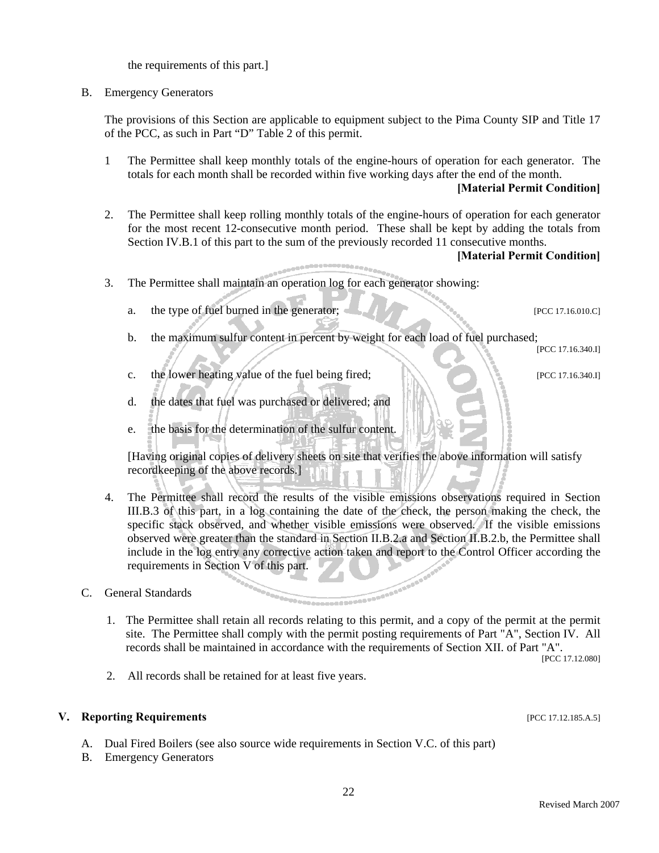the requirements of this part.]

#### B. Emergency Generators

The provisions of this Section are applicable to equipment subject to the Pima County SIP and Title 17 of the PCC, as such in Part "D" Table 2 of this permit.

1 The Permittee shall keep monthly totals of the engine-hours of operation for each generator. The totals for each month shall be recorded within five working days after the end of the month.

#### **[Material Permit Condition]**

2. The Permittee shall keep rolling monthly totals of the engine-hours of operation for each generator for the most recent 12-consecutive month period. These shall be kept by adding the totals from Section IV.B.1 of this part to the sum of the previously recorded 11 consecutive months.

#### **[Material Permit Condition]**

- 3. The Permittee shall maintain an operation log for each generator showing:
	- a. the type of fuel burned in the generator;  $\blacksquare$

- b. the maximum sulfur content in percent by weight for each load of fuel purchased; [PCC 17.16.340.I]
- c. the lower heating value of the fuel being fired;  $\blacksquare$
- d. the dates that fuel was purchased or delivered; and
- e. the basis for the determination of the sulfur content.

[Having original copies of delivery sheets on site that verifies the above information will satisfy recordkeeping of the above records.]

- 4. The Permittee shall record the results of the visible emissions observations required in Section III.B.3 of this part, in a log containing the date of the check, the person making the check, the specific stack observed, and whether visible emissions were observed. If the visible emissions observed were greater than the standard in Section II.B.2.a and Section II.B.2.b, the Permittee shall include in the log entry any corrective action taken and report to the Control Officer according the requirements in Section V of this part.
- C. General Standards
	- 1. The Permittee shall retain all records relating to this permit, and a copy of the permit at the permit site. The Permittee shall comply with the permit posting requirements of Part "A", Section IV. All records shall be maintained in accordance with the requirements of Section XII. of Part "A".

.................

[PCC 17.12.080]

2. All records shall be retained for at least five years.

#### **V. Reporting Requirements and the set of the contract of the contract of the contract of the contract of the contract of the contract of the contract of the contract of the contract of the contract of the contract of th**

- A. Dual Fired Boilers (see also source wide requirements in Section V.C. of this part)
- B. Emergency Generators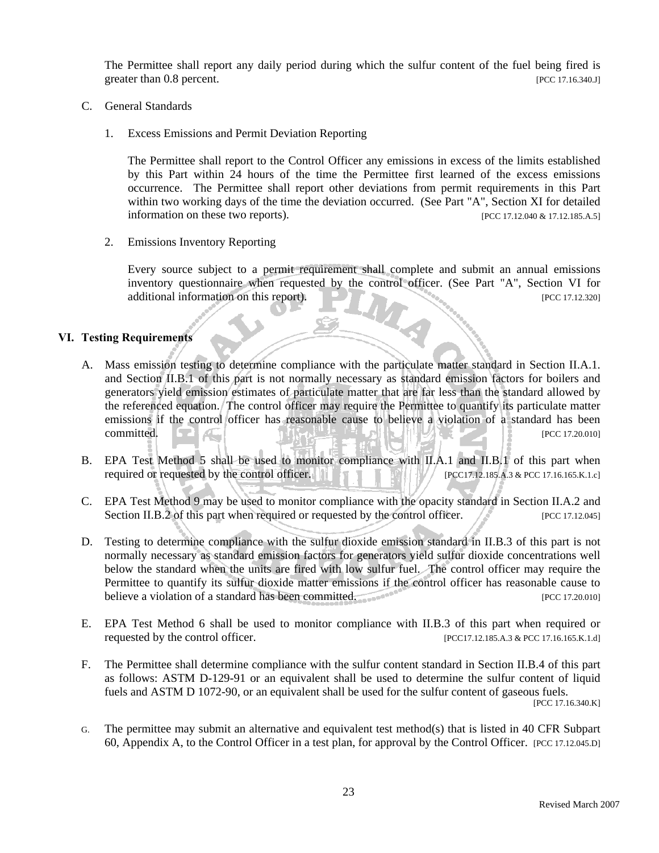The Permittee shall report any daily period during which the sulfur content of the fuel being fired is greater than 0.8 percent. [PCC 17.16.340.J]

- C. General Standards
	- 1. Excess Emissions and Permit Deviation Reporting

 The Permittee shall report to the Control Officer any emissions in excess of the limits established by this Part within 24 hours of the time the Permittee first learned of the excess emissions occurrence. The Permittee shall report other deviations from permit requirements in this Part within two working days of the time the deviation occurred. (See Part "A", Section XI for detailed information on these two reports).  $[PCC 17.12.040 \& 17.12.185.A.5]$ 

2. Emissions Inventory Reporting

Every source subject to a permit requirement shall complete and submit an annual emissions inventory questionnaire when requested by the control officer. (See Part "A", Section VI for additional information on this report). **[PCC 17.12.320]** [PCC 17.12.320] H.

#### **VI. Testing Requirements**

- A. Mass emission testing to determine compliance with the particulate matter standard in Section II.A.1. and Section II.B.1 of this part is not normally necessary as standard emission factors for boilers and generators yield emission estimates of particulate matter that are far less than the standard allowed by the referenced equation. The control officer may require the Permittee to quantify its particulate matter emissions if the control officer has reasonable cause to believe a violation of a standard has been  $\blacksquare$   $\blacksquare$   $\blacksquare$   $\blacksquare$   $\blacksquare$   $\blacksquare$   $\blacksquare$   $\blacksquare$   $\blacksquare$   $\blacksquare$   $\blacksquare$   $\blacksquare$   $\blacksquare$   $\blacksquare$   $\blacksquare$   $\blacksquare$   $\blacksquare$   $\blacksquare$   $\blacksquare$   $\blacksquare$   $\blacksquare$   $\blacksquare$   $\blacksquare$   $\blacksquare$   $\blacksquare$   $\blacksquare$   $\blacksquare$   $\blacksquare$   $\blacksquare$   $\blacksquare$   $\blacksquare$   $\blacks$
- B. EPA Test Method 5 shall be used to monitor compliance with II.A.1 and II.B.1 of this part when required or requested by the control officer. **[PCC17.12.185.A.3** & PCC 17.16.165.K.1.c]
- C. EPA Test Method 9 may be used to monitor compliance with the opacity standard in Section II.A.2 and Section II.B.2 of this part when required or requested by the control officer.  $[PCC 17.12.045]$
- D. Testing to determine compliance with the sulfur dioxide emission standard in II.B.3 of this part is not normally necessary as standard emission factors for generators yield sulfur dioxide concentrations well below the standard when the units are fired with low sulfur fuel. The control officer may require the Permittee to quantify its sulfur dioxide matter emissions if the control officer has reasonable cause to believe a violation of a standard has been committed. **Example 1999** PCC 17.20.0101
- E. EPA Test Method 6 shall be used to monitor compliance with II.B.3 of this part when required or requested by the control officer. [PCC17.12.185.A.3 & PCC 17.16.165.K.1.d]
- F. The Permittee shall determine compliance with the sulfur content standard in Section II.B.4 of this part as follows: ASTM D-129-91 or an equivalent shall be used to determine the sulfur content of liquid fuels and ASTM D 1072-90, or an equivalent shall be used for the sulfur content of gaseous fuels. [PCC 17.16.340.K]
- G. The permittee may submit an alternative and equivalent test method(s) that is listed in 40 CFR Subpart 60, Appendix A, to the Control Officer in a test plan, for approval by the Control Officer. [PCC 17.12.045.D]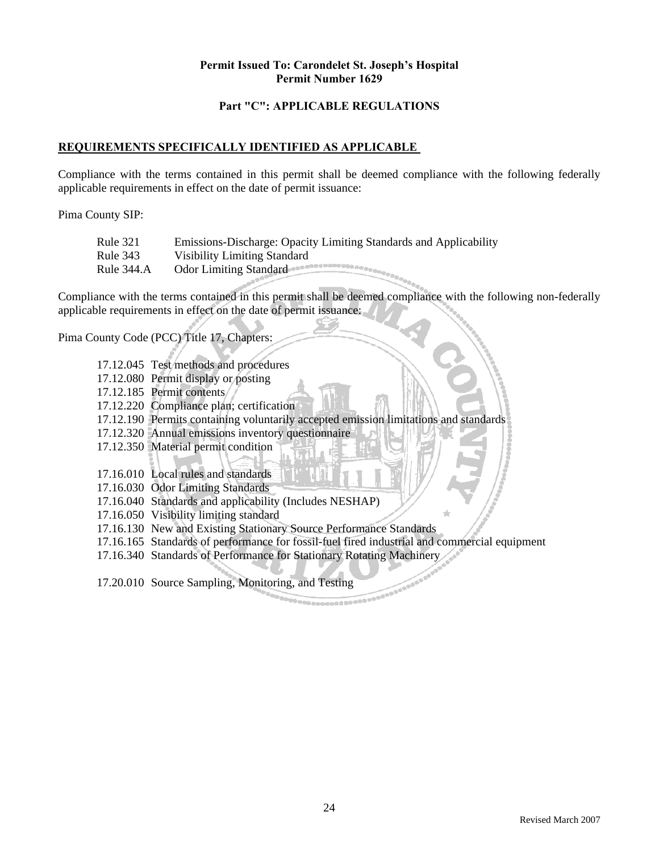#### **Part "C": APPLICABLE REGULATIONS**

#### **REQUIREMENTS SPECIFICALLY IDENTIFIED AS APPLICABLE**

Compliance with the terms contained in this permit shall be deemed compliance with the following federally applicable requirements in effect on the date of permit issuance:

Pima County SIP:

| Rule 321   | Emissions-Discharge: Opacity Limiting Standards and Applicability |
|------------|-------------------------------------------------------------------|
| Rule 343   | Visibility Limiting Standard                                      |
| Rule 344.A | Odor Limiting Standard                                            |

Compliance with the terms contained in this permit shall be deemed compliance with the following non-federally applicable requirements in effect on the date of permit issuance:

Pima County Code (PCC) Title 17, Chapters:

- 17.12.045 Test methods and procedures
- 17.12.080 Permit display or posting
- 17.12.185 Permit contents
- 17.12.220 Compliance plan; certification
- 17.12.190 Permits containing voluntarily accepted emission limitations and standards
- 17.12.320 Annual emissions inventory questionnaire
- 17.12.350 Material permit condition
- 17.16.010 Local rules and standards
- 17.16.030 Odor Limiting Standards
- 17.16.040 Standards and applicability (Includes NESHAP)
- 17.16.050 Visibility limiting standard
- 17.16.130 New and Existing Stationary Source Performance Standards
- 17.16.165 Standards of performance for fossil-fuel fired industrial and commercial equipment
- 17.16.340 Standards of Performance for Stationary Rotating Machinery

17.20.010 Source Sampling, Monitoring, and Testing